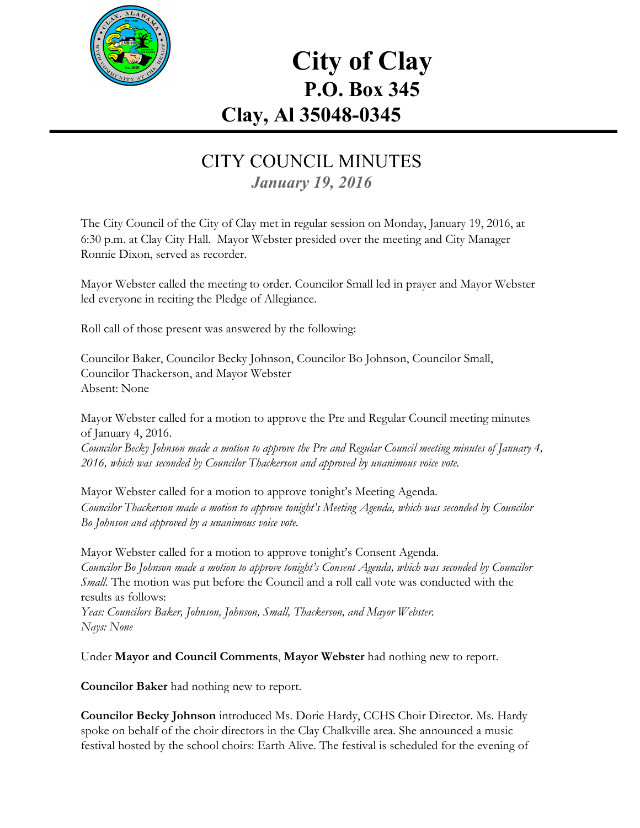

# **City of Clay P.O. Box 345 Clay, Al 35048-0345**

#### CITY COUNCIL MINUTES *January 19, 2016*

The City Council of the City of Clay met in regular session on Monday, January 19, 2016, at 6:30 p.m. at Clay City Hall. Mayor Webster presided over the meeting and City Manager Ronnie Dixon, served as recorder.

Mayor Webster called the meeting to order. Councilor Small led in prayer and Mayor Webster led everyone in reciting the Pledge of Allegiance.

Roll call of those present was answered by the following:

Councilor Baker, Councilor Becky Johnson, Councilor Bo Johnson, Councilor Small, Councilor Thackerson, and Mayor Webster Absent: None

Mayor Webster called for a motion to approve the Pre and Regular Council meeting minutes of January 4, 2016. Councilor Becky Johnson made a motion to approve the Pre and Regular Council meeting minutes of January 4, *2016, which was seconded by Councilor Thackerson and approved by unanimous voice vote.*

Mayor Webster called for a motion to approve tonight's Meeting Agenda. *Councilor Thackerson made a motion to approve tonight's Meeting Agenda, which was seconded by Councilor Bo Johnson and approved by a unanimous voice vote.*

Mayor Webster called for a motion to approve tonight's Consent Agenda. *Councilor Bo Johnson made a motion to approve tonight's Consent Agenda, which was seconded by Councilor Small.* The motion was put before the Council and a roll call vote was conducted with the results as follows:

*Yeas: Councilors Baker, Johnson, Johnson, Small, Thackerson, and Mayor Webster. Nays: None*

Under **Mayor and Council Comments**, **Mayor Webster**had nothing new to report.

**Councilor Baker**had nothing new to report.

**Councilor Becky Johnson**introduced Ms. Dorie Hardy, CCHS Choir Director. Ms. Hardy spoke on behalf of the choir directors in the Clay Chalkville area. She announced a music festival hosted by the school choirs: Earth Alive. The festival is scheduled for the evening of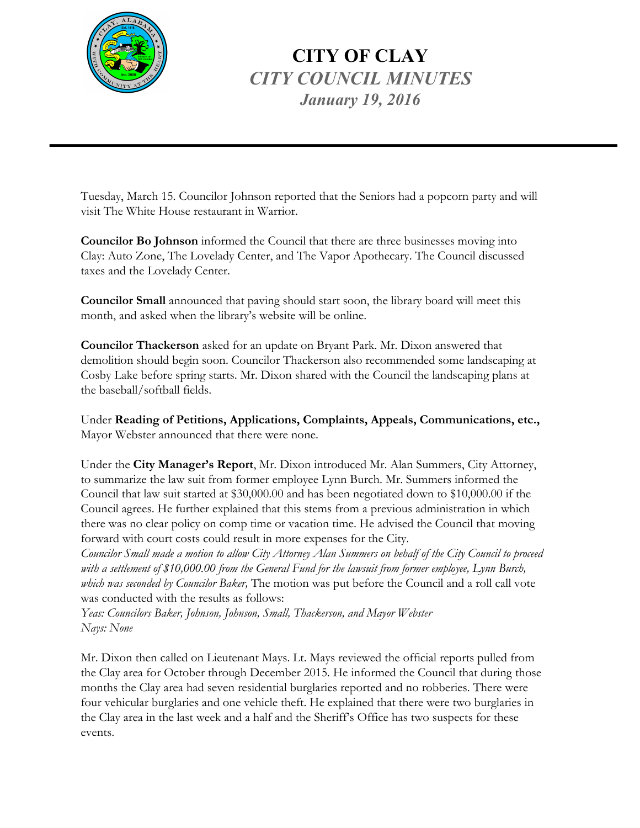

## **CITY OF CLAY** *CITY COUNCIL MINUTES January 19, 2016*

Tuesday, March 15. Councilor Johnson reported that the Seniors had a popcorn party and will visit The White House restaurant in Warrior.

**Councilor Bo Johnson**informed the Council that there are three businesses moving into Clay: Auto Zone, The Lovelady Center, and The Vapor Apothecary. The Council discussed taxes and the Lovelady Center.

**Councilor Small**announced that paving should start soon, the library board will meet this month, and asked when the library's website will be online.

**Councilor Thackerson**asked for an update on Bryant Park. Mr. Dixon answered that demolition should begin soon. Councilor Thackerson also recommended some landscaping at Cosby Lake before spring starts. Mr. Dixon shared with the Council the landscaping plans at the baseball/softball fields.

Under **Reading of Petitions, Applications, Complaints, Appeals, Communications, etc.,** Mayor Webster announced that there were none.

Under the **City Manager's Report**, Mr. Dixon introduced Mr. Alan Summers, City Attorney, to summarize the law suit from former employee Lynn Burch. Mr. Summers informed the Council that law suit started at \$30,000.00 and has been negotiated down to \$10,000.00 if the Council agrees. He further explained that this stems from a previous administration in which there was no clear policy on comp time or vacation time. He advised the Council that moving forward with court costs could result in more expenses for the City.

Councilor Small made a motion to allow City Attorney Alan Summers on behalf of the City Council to proceed *with a settlement of \$10,000.00 from the General Fund for the lawsuit from former employee, Lynn Burch, which was seconded by Councilor Baker,* The motion was put before the Council and a roll call vote was conducted with the results as follows:

*Yeas: Councilors Baker, Johnson, Johnson, Small, Thackerson, and Mayor Webster Nays: None*

Mr. Dixon then called on Lieutenant Mays. Lt. Mays reviewed the official reports pulled from the Clay area for October through December 2015. He informed the Council that during those months the Clay area had seven residential burglaries reported and no robberies. There were four vehicular burglaries and one vehicle theft. He explained that there were two burglaries in the Clay area in the last week and a half and the Sheriff's Office has two suspects for these events.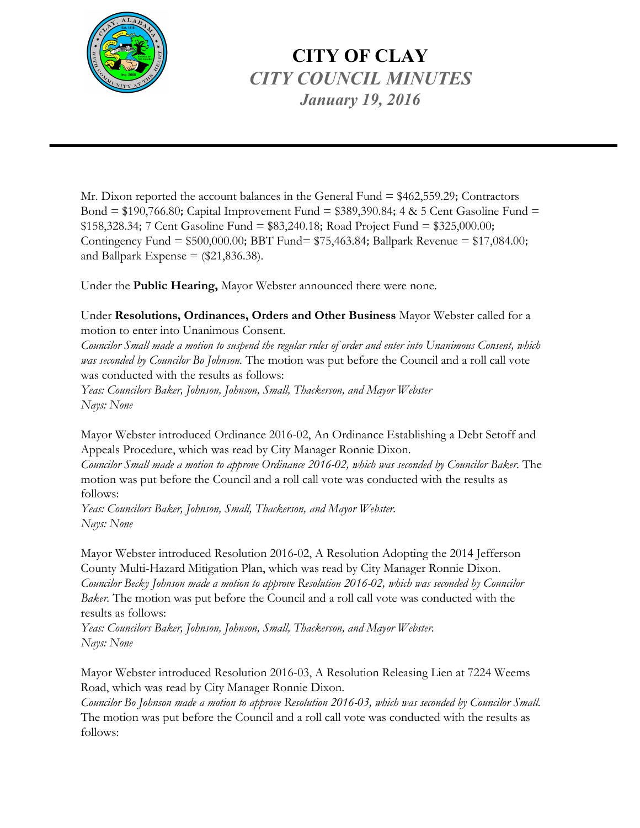

## **CITY OF CLAY** *CITY COUNCIL MINUTES January 19, 2016*

Mr. Dixon reported the account balances in the General Fund = \$462,559.29; Contractors Bond =  $$190,766.80$ ; Capital Improvement Fund =  $$389,390.84$ ; 4 & 5 Cent Gasoline Fund =  $$158,328.34$ ; 7 Cent Gasoline Fund =  $$83,240.18$ ; Road Project Fund =  $$325,000.00$ ; Contingency Fund = \$500,000.00; BBT Fund= \$75,463.84; Ballpark Revenue = \$17,084.00; and Ballpark Expense  $=$  (\$21,836.38).

Under the **Public Hearing,** Mayor Webster announced there were none.

Under **Resolutions, Ordinances, Orders and Other Business** Mayor Webster called for a motion to enter into Unanimous Consent.

Councilor Small made a motion to suspend the regular rules of order and enter into Unanimous Consent, which *was seconded by Councilor Bo Johnson.* The motion was put before the Council and a roll call vote was conducted with the results as follows:

*Yeas: Councilors Baker, Johnson, Johnson, Small, Thackerson, and Mayor Webster Nays: None*

Mayor Webster introduced Ordinance 2016-02, An Ordinance Establishing a Debt Setoff and Appeals Procedure, which was read by City Manager Ronnie Dixon.

*Councilor Small made a motion to approve Ordinance 2016-02, which was seconded by Councilor Baker.* The motion was put before the Council and a roll call vote was conducted with the results as follows:

*Yeas: Councilors Baker, Johnson, Small, Thackerson, and Mayor Webster. Nays: None*

Mayor Webster introduced Resolution 2016-02, A Resolution Adopting the 2014 Jefferson County Multi-Hazard Mitigation Plan, which was read by City Manager Ronnie Dixon. *Councilor Becky Johnson made a motion to approve Resolution 2016-02, which was seconded by Councilor Baker.* The motion was put before the Council and a roll call vote was conducted with the results as follows:

*Yeas: Councilors Baker, Johnson, Johnson, Small, Thackerson, and Mayor Webster. Nays: None*

Mayor Webster introduced Resolution 2016-03, A Resolution Releasing Lien at 7224 Weems Road, which was read by City Manager Ronnie Dixon.

*Councilor Bo Johnson made a motion to approve Resolution 2016-03, which was seconded by Councilor Small.* The motion was put before the Council and a roll call vote was conducted with the results as follows: